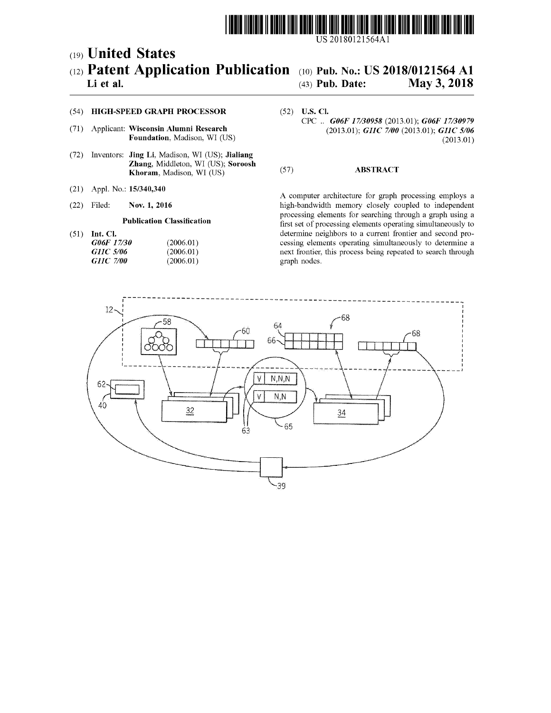

US 20180121564Al

## c19) **United States**  c12) **Patent Application Publication**  c10) **Pub. No.: US 2018/0121564 Al**

# (43) **Pub. Date: May 3, 2018**

### **Li et al.**

(54) **HIGH-SPEED GRAPH PROCESSOR** 

- (71) Applicant: **Wisconsin Alumni Research Foundation,** Madison, WI (US)
- (72) Inventors: **Jing Li,** Madison, WI (US); **Jialiang Zhang,** Middleton, WI (US); **Soroosh Khoram,** Madison, WI (US)
- (21) Appl. No.: **15/340,340**
- (22) Filed: **Nov. 1, 2016**

#### **Publication Classification**

(51) **Int. Cl.** 

| <i>G06F 17/30</i> | (2006.01) |
|-------------------|-----------|
| <i>GHC 5/06</i>   | (2006.01) |
| <i>GHC 7/00</i>   | (2006.01) |

(52) **U.S. Cl.**  CPC .. *G06F 17/30958* (2013.01); *G06F 17/30979*  (2013.01); *GllC 7100* (2013.01); *GllC 5106*  (2013.01)

#### (57) **ABSTRACT**

A computer architecture for graph processing employs a high-bandwidth memory closely coupled to independent processing elements for searching through a graph using a first set of processing elements operating simultaneously to determine neighbors to a current frontier and second processing elements operating simultaneously to determine a next frontier, this process being repeated to search through graph nodes.

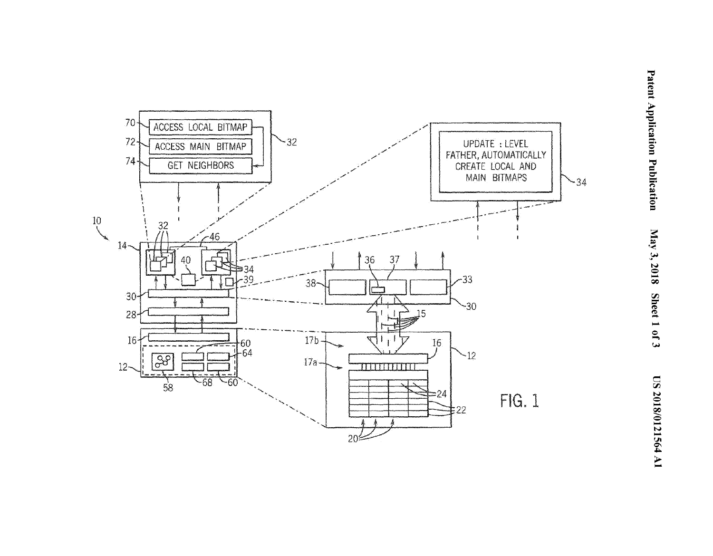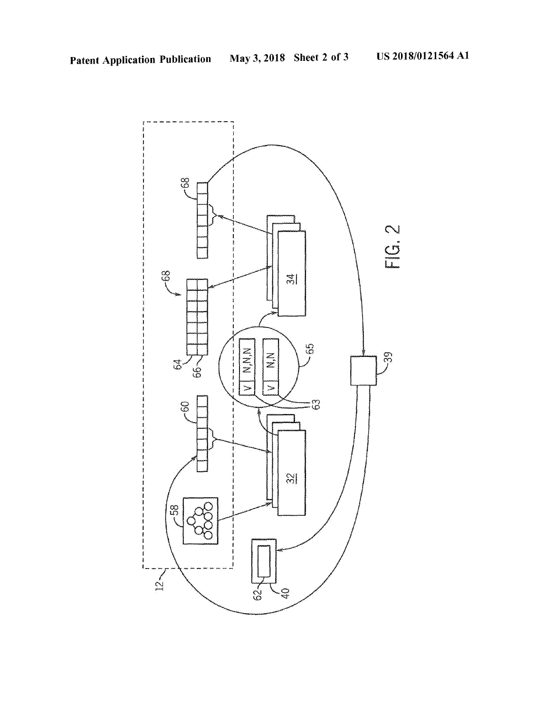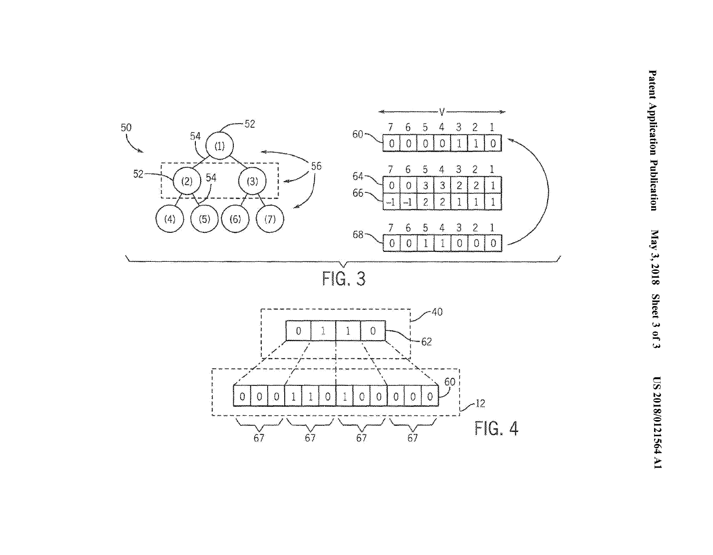

 $67$ 

 $67$ 

 $\check{67}$ 

 $67$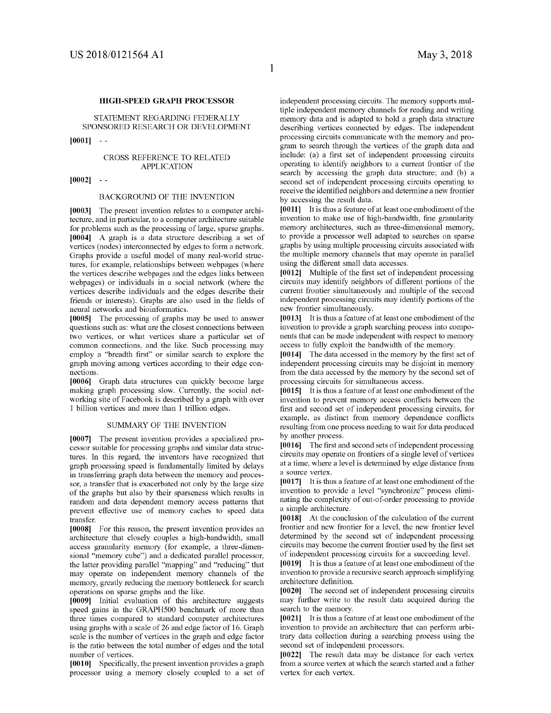#### **HIGH-SPEED GRAPH PROCESSOR**

STATEMENT REGARDING FEDERALLY SPONSORED RESEARCH OR DEVELOPMENT

**[0001]** 

#### CROSS REFERENCE TO RELATED APPLICATION

**[0002]** 

#### BACKGROUND OF THE INVENTION

**[0003]** The present invention relates to a computer architecture, and in particular, to a computer architecture suitable for problems such as the processing of large, sparse graphs. **[0004]** A graph is a data structure describing a set of vertices (nodes) interconnected by edges to form a network. Graphs provide a useful model of many real-world structures, for example, relationships between webpages (where the vertices describe webpages and the edges links between webpages) or individuals in a social network (where the vertices describe individuals and the edges describe their friends or interests). Graphs are also used in the fields of neural networks and bioinformatics.

**[0005]** The processing of graphs may be used to answer questions such as: what are the closest connections between two vertices, or what vertices share a particular set of common connections, and the like. Such processing may employ a "breadth first" or similar search to explore the graph moving among vertices according to their edge connections.

**[0006]** Graph data structures can quickly become large making graph processing slow. Currently, the social networking site of Facebook is described by a graph with over 1 billion vertices and more than 1 trillion edges.

#### SUMMARY OF THE INVENTION

**[0007]** The present invention provides a specialized processor suitable for processing graphs and similar data structures. In this regard, the inventors have recognized that graph processing speed is fundamentally limited by delays in transferring graph data between the memory and processor, a transfer that is exacerbated not only by the large size of the graphs but also by their sparseness which results in random and data dependent memory access patterns that prevent effective use of memory caches to speed data transfer.

**[0008]** For this reason, the present invention provides an architecture that closely couples a high-bandwidth, small access granularity memory (for example, a three-dimensional "memory cube") and a dedicated parallel processor, the latter providing parallel "mapping" and "reducing" that may operate on independent memory channels of the memory, greatly reducing the memory bottleneck for search operations on sparse graphs and the like.

**[0009]** Initial evaluation of this architecture suggests speed gains in the GRAPH500 benchmark of more than three times compared to standard computer architectures using graphs with a scale of 26 and edge factor of 16. Graph scale is the number of vertices in the graph and edge factor is the ratio between the total number of edges and the total number of vertices.

**[0010]** Specifically, the present invention provides a graph processor using a memory closely coupled to a set of independent processing circuits. The memory supports multiple independent memory channels for reading and writing memory data and is adapted to hold a graph data structure describing vertices connected by edges. The independent processing circuits communicate with the memory and program to search through the vertices of the graph data and include: (a) a first set of independent processing circuits operating to identify neighbors to a current frontier of the search by accessing the graph data structure; and (b) a second set of independent processing circuits operating to receive the identified neighbors and determine a new frontier by accessing the result data.

**[0011]** It is thus a feature of at least one embodiment of the invention to make use of high-bandwidth, fine granularity memory architectures, such as three-dimensional memory, to provide a processor well adapted to searches on sparse graphs by using multiple processing circuits associated with the multiple memory channels that may operate in parallel using the different small data accesses.

**[0012]** Multiple of the first set of independent processing circuits may identify neighbors of different portions of the current frontier simultaneously and multiple of the second independent processing circuits may identify portions of the new frontier simultaneously.

**[0013]** It is thus a feature of at least one embodiment of the invention to provide a graph searching process into components that can be made independent with respect to memory access to fully exploit the bandwidth of the memory.

**[0014]** The data accessed in the memory by the first set of independent processing circuits may be disjoint in memory from the data accessed by the memory by the second set of processing circuits for simultaneous access.

**[0015]** It is thus a feature of at least one embodiment of the invention to prevent memory access conflicts between the first and second set of independent processing circuits, for example, as distinct from memory dependence conflicts resulting from one process needing to wait for data produced by another process.

**[0016]** The first and second sets of independent processing circuits may operate on frontiers of a single level of vertices at a time, where a level is determined by edge distance from a source vertex.

**[0017]** It is thus a feature of at least one embodiment of the invention to provide a level "synchronize" process eliminating the complexity of out-of-order processing to provide a simple architecture.

**[0018]** At the conclusion of the calculation of the current frontier and new frontier for a level, the new frontier level determined by the second set of independent processing circuits may become the current frontier used by the first set of independent processing circuits for a succeeding level.

**[0019]** It is thus a feature of at least one embodiment of the invention to provide a recursive search approach simplifying architecture definition.

**[0020]** The second set of independent processing circuits may further write to the result data acquired during the search to the memory.

**[0021]** It is thus a feature of at least one embodiment of the invention to provide an architecture that can perform arbitrary data collection during a searching process using the second set of independent processors.

**[0022]** The result data may be distance for each vertex from a source vertex at which the search started and a father vertex for each vertex.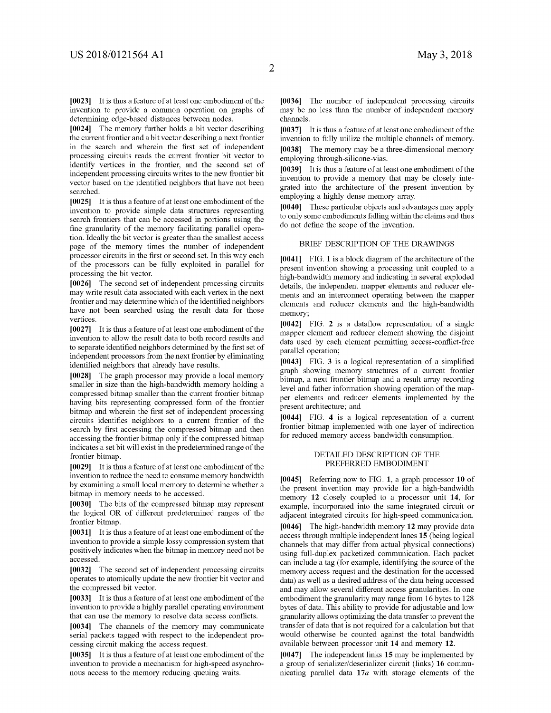[0023] It is thus a feature of at least one embodiment of the invention to provide a common operation on graphs of determining edge-based distances between nodes.

**[0024]** The memory further holds a bit vector describing the current frontier and a bit vector describing a next frontier in the search and wherein the first set of independent processing circuits reads the current frontier bit vector to identify vertices in the frontier, and the second set of independent processing circuits writes to the new frontier bit vector based on the identified neighbors that have not been searched.

[0025] It is thus a feature of at least one embodiment of the invention to provide simple data structures representing search frontiers that can be accessed in portions using the fine granularity of the memory facilitating parallel operation. Ideally the bit vector is greater than the smallest access page of the memory times the number of independent processor circuits in the first or second set. In this way each of the processors can be fully exploited in parallel for processing the bit vector.

**[0026]** The second set of independent processing circuits may write result data associated with each vertex in the next frontier and may determine which of the identified neighbors have not been searched using the result data for those vertices.

[0027] It is thus a feature of at least one embodiment of the invention to allow the result data to both record results and to separate identified neighbors determined by the first set of independent processors from the next frontier by eliminating identified neighbors that already have results.

**[0028]** The graph processor may provide a local memory smaller in size than the high-bandwidth memory holding a compressed bitmap smaller than the current frontier bitmap having bits representing compressed form of the frontier bitmap and wherein the first set of independent processing circuits identifies neighbors to a current frontier of the search by first accessing the compressed bitmap and then accessing the frontier bitmap only if the compressed bitmap indicates a set bit will exist in the predetermined range of the frontier bitmap.

[0029] It is thus a feature of at least one embodiment of the invention to reduce the need to consume memory bandwidth by examining a small local memory to determine whether a bitmap in memory needs to be accessed.

**[0030]** The bits of the compressed bitmap may represent the logical OR of different predetermined ranges of the frontier bitmap.

[0031] It is thus a feature of at least one embodiment of the invention to provide a simple lossy compression system that positively indicates when the bitmap in memory need not be accessed.

**[0032]** The second set of independent processing circuits operates to atomically update the new frontier bit vector and the compressed bit vector.

[0033] It is thus a feature of at least one embodiment of the invention to provide a highly parallel operating environment that can use the memory to resolve data access conflicts.

**[0034]** The channels of the memory may communicate serial packets tagged with respect to the independent processing circuit making the access request.

[0035] It is thus a feature of at least one embodiment of the invention to provide a mechanism for high-speed asynchronous access to the memory reducing queuing waits.

**[0036]** The number of independent processing circuits may be no less than the number of independent memory channels.

**[0037]** It is thus a feature of at least one embodiment of the invention to fully utilize the multiple channels of memory. **[0038]** The memory may be a three-dimensional memory employing through-silicone-vias.

**[0039]** It is thus a feature of at least one embodiment of the invention to provide a memory that may be closely integrated into the architecture of the present invention by employing a highly dense memory array.

**[0040]** These particular objects and advantages may apply to only some embodiments falling within the claims and thus do not define the scope of the invention.

#### BRIEF DESCRIPTION OF THE DRAWINGS

**[0041]** FIG. **1** is a block diagram of the architecture of the present invention showing a processing unit coupled to a high-bandwidth memory and indicating in several exploded details, the independent mapper elements and reducer elements and an interconnect operating between the mapper elements and reducer elements and the high-bandwidth memory;

**[0042]** FIG. **2** is a dataflow representation of a single mapper element and reducer element showing the disjoint data used by each element permitting access-conflict-free parallel operation;

**[0043]** FIG. **3** is a logical representation of a simplified graph showing memory structures of a current frontier bitmap, a next frontier bitmap and a result array recording level and father information showing operation of the mapper elements and reducer elements implemented by the present architecture; and

**[0044]** FIG. **4** is a logical representation of a current frontier bitmap implemented with one layer of indirection for reduced memory access bandwidth consumption.

#### DETAILED DESCRIPTION OF THE PREFERRED EMBODIMENT

**[0045]** Referring now to FIG. **1,** a graph processor **10** of the present invention may provide for a high-bandwidth memory **12** closely coupled to a processor unit **14,** for example, incorporated into the same integrated circuit or adjacent integrated circuits for high-speed communication.

**[0046]** The high-bandwidth memory **12** may provide data access through multiple independent lanes **15** (being logical channels that may differ from actual physical connections) using full-duplex packetized communication. Each packet can include a tag (for example, identifying the source of the memory access request and the destination for the accessed data) as well as a desired address of the data being accessed and may allow several different access granularities. In one embodiment the granularity may range from 16 bytes to 128 bytes of data. This ability to provide for adjustable and low granularity allows optimizing the data transfer to prevent the transfer of data that is not required for a calculation but that would otherwise be counted against the total bandwidth available between processor unit **14** and memory **12.** 

**[0047]** The independent links **15** may be implemented by a group of serializer/deserializer circuit (links) **16** communicating parallel data 17a with storage elements of the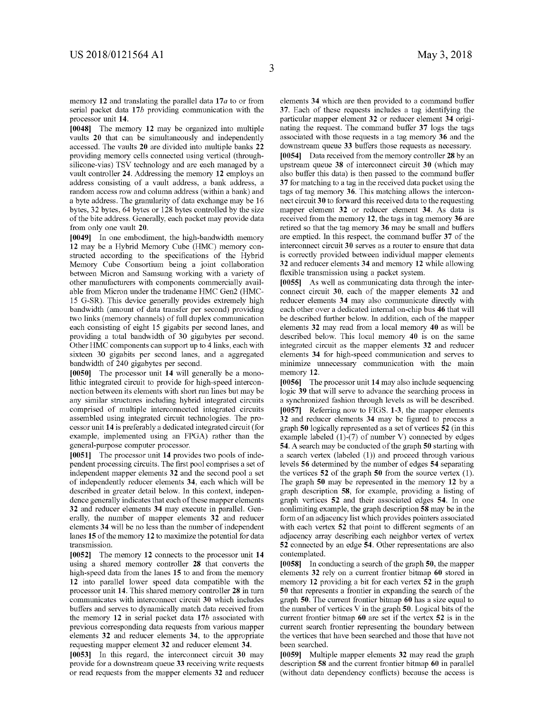memory **12** and translating the parallel data **17a** to or from serial packet data **17b** providing communication with the processor unit **14.** 

**[0048]** The memory **12** may be organized into multiple vaults **20** that can be simultaneously and independently accessed. The vaults **20** are divided into multiple banks **22**  providing memory cells connected using vertical (throughsilicone-vias) TSV technology and are each managed by a vault controller **24.** Addressing the memory **12** employs an address consisting of a vault address, a bank address, a random access row and colunm address (within a bank) and a byte address. The granularity of data exchange may be 16 bytes, 32 bytes, 64 bytes or 128 bytes controlled by the size of the bite address. Generally, each packet may provide data from only one vault **20.** 

**[0049]** In one embodiment, the high-bandwidth memory **12** may be a Hybrid Memory Cube (HMC) memory constructed according to the specifications of the Hybrid Memory Cube Consortium being a joint collaboration between Micron and Samsung working with a variety of other manufacturers with components commercially available from Micron under the tradename HMC Gen2 (HMC-15 G-SR). This device generally provides extremely high bandwidth (amount of data transfer per second) providing two links (memory channels) of full duplex communication each consisting of eight 15 gigabits per second lanes, and providing a total bandwidth of 30 gigabytes per second. Other HMC components can support up to 4 links, each with sixteen 30 gigabits per second lanes, and a aggregated bandwidth of 240 gigabytes per second.

**[0050]** The processor unit **14** will generally be a monolithic integrated circuit to provide for high-speed interconnection between its elements with short run lines but may be any similar structures including hybrid integrated circuits comprised of multiple interconnected integrated circuits assembled using integrated circuit technologies. The processor unit **14** is preferably a dedicated integrated circuit (for example, implemented using an FPGA) rather than the general-purpose computer processor.

**[0051]** The processor unit **14** provides two pools of independent processing circuits. The first pool comprises a set of independent mapper elements **32** and the second pool a set of independently reducer elements **34,** each which will be described in greater detail below. In this context, independence generally indicates that each of these mapper elements **32** and reducer elements **34** may execute in parallel. Generally, the number of mapper elements **32** and reducer elements **34** will be no less than the number of independent lanes **15** of the memory **12** to maximize the potential for data transmission.

**[0052]** The memory **12** connects to the processor unit **14**  using a shared memory controller **28** that converts the high-speed data from the lanes **15** to and from the memory **12** into parallel lower speed data compatible with the processor unit **14.** This shared memory controller **28** in turn communicates with interconnect circuit **30** which includes buffers and serves to dynamically match data received from the memory **12** in serial packet data **17b** associated with previous corresponding data requests from various mapper elements **32** and reducer elements **34,** to the appropriate requesting mapper element **32** and reducer element **34.** 

**[0053]** In this regard, the interconnect circuit **30** may provide for a downstream queue **33** receiving write requests or read requests from the mapper elements **32** and reducer elements **34** which are then provided to a command buffer **37.** Each of these requests includes a tag identifying the particular mapper element **32** or reducer element **34** originating the request. The command buffer **37** logs the tags associated with those requests in a tag memory **36** and the downstream queue **33** buffers those requests as necessary.

**[0054]** Data received from the memory controller **28** by an upstream queue **38** of interconnect circuit **30** (which may also buffer this data) is then passed to the command buffer **37** for matching to a tag in the received data packet using the tags of tag memory **36.** This matching allows the interconnect circuit **30** to forward this received data to the requesting mapper element **32** or reducer element **34.** As data is received from the memory **12,** the tags in tag memory **36** are retired so that the tag memory **36** may be small and buffers are emptied. In this respect, the command buffer **37** of the interconnect circuit **30** serves as a router to ensure that data is correctly provided between individual mapper elements **32** and reducer elements **34** and memory **12** while allowing flexible transmission using a packet system.

**[0055]** As well as communicating data through the interconnect circuit **30,** each of the mapper elements **32** and reducer elements **34** may also communicate directly with each other over a dedicated internal on-chip bus **46** that will be described further below. In addition, each of the mapper elements **32** may read from a local memory **40** as will be described below. This local memory **40** is on the same integrated circuit as the mapper elements **32** and reducer elements **34** for high-speed communication and serves to minimize unnecessary communication with the main memory **12.** 

**[0056]** The processor unit **14** may also include sequencing logic **39** that will serve to advance the searching process in a synchronized fashion through levels as will be described. **[0057]** Referring now to FIGS. **1-3,** the mapper elements **32** and reducer elements **34** may be figured to process a graph **50** logically represented as a set of vertices **52** (in this example labeled (1)-(7) of number V) connected by edges **54.** A search may be conducted of the graph **50** starting with a search vertex (labeled (1)) and proceed through various levels **56** determined by the number of edges **54** separating the vertices **52** of the graph **50** from the source vertex (1 ). The graph **50** may be represented in the memory **12** by a graph description **58,** for example, providing a listing of graph vertices **52** and their associated edges **54.** In one nonlimiting example, the graph description **58** may be in the form of an adjacency list which provides pointers associated with each vertex **52** that point to different segments of an adjacency array describing each neighbor vertex of vertex **52** connected by an edge **54.** Other representations are also contemplated.

**[0058]** In conducting a search of the graph **50,** the mapper elements **32** rely on a current frontier bitmap **60** stored in memory **12** providing a bit for each vertex **52** in the graph **50** that represents a frontier in expanding the search of the graph **50.** The current frontier bitmap **60** has a size equal to the number of vertices V in the graph **50**. Logical bits of the current frontier bitmap **60** are set if the vertex **52** is in the current search frontier representing the boundary between the vertices that have been searched and those that have not been searched.

**[0059]** Multiple mapper elements **32** may read the graph description **58** and the current frontier bitmap **60** in parallel (without data dependency conflicts) because the access is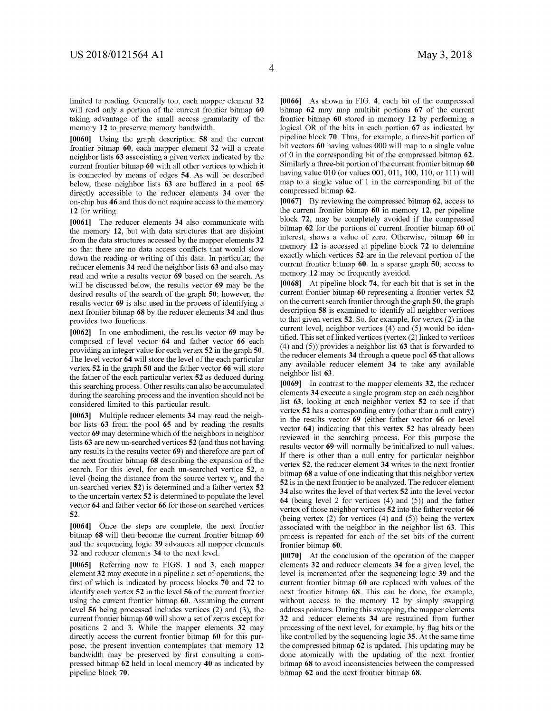limited to reading. Generally too, each mapper element **32**  will read only a portion of the current frontier bitmap **60**  taking advantage of the small access granularity of the memory **12** to preserve memory bandwidth.

**[0060]** Using the graph description **58** and the current frontier bitmap **60,** each mapper element **32** will a create neighbor lists **63** associating a given vertex indicated by the current frontier bitmap **60** with all other vertices to which it is connected by means of edges **54.** As will be described below, these neighbor lists **63** are buffered in a pool **65**  directly accessible to the reducer elements **34** over the on-chip bus **46** and thus do not require access to the memory **12** for writing.

**[0061]** The reducer elements **34** also communicate with the memory **12,** but with data structures that are disjoint from the data structures accessed by the mapper elements **32**  so that there are no data access conflicts that would slow down the reading or writing of this data. In particular, the reducer elements **34** read the neighbor lists **63** and also may read and write a results vector **69** based on the search. As will be discussed below, the results vector **69** may be the desired results of the search of the graph **50;** however, the results vector **69** is also used in the process of identifying a next frontier bitmap **68** by the reducer elements **34** and thus provides two functions.

**[0062]** In one embodiment, the results vector **69** may be composed of level vector **64** and father vector **66** each providing an integer value for each vertex **52** in the graph **50.**  The level vector **64** will store the level of the each particular vertex **52** in the graph **50** and the father vector **66** will store the father of the each particular vertex **52** as deduced during this searching process. Other results can also be accumulated during the searching process and the invention should not be considered limited to this particular result.

**[0063]** Multiple reducer elements **34** may read the neighbor lists **63** from the pool **65** and by reading the results vector **69** may determine which of the neighbors in neighbor lists **63** are new un-searched vertices **52** (and thus not having any results in the results vector **69)** and therefore are part of the next frontier bitmap **68** describing the expansion of the search. For this level, for each un-searched vertice **52,** a level (being the distance from the source vertex  $v_n$  and the un-searched vertex **52)** is determined and a father vertex **52**  to the uncertain vertex **52** is determined to populate the level vector **64** and father vector **66** for those on searched vertices **52.** 

**[0064]** Once the steps are complete, the next frontier bitmap **68** will then become the current frontier bitmap **60**  and the sequencing logic **39** advances all mapper elements **32** and reducer elements **34** to the next level.

**[0065]** Referring now to FIGS. **1** and **3,** each mapper element **32** may execute in a pipeline a set of operations, the first of which is indicated by process blocks **70** and **72** to identify each vertex **52** in the level **56** of the current frontier using the current frontier bitmap **60.** Assuming the current level **56** being processed includes vertices (2) and (3), the current frontier bitmap **60** will show a set of zeros except for positions 2 and 3. While the mapper elements **32** may directly access the current frontier bitmap **60** for this purpose, the present invention contemplates that memory **12**  bandwidth may be preserved by first consulting a compressed bitmap **62** held in local memory **40** as indicated by pipeline block **70.** 

**[0066]** As shown in FIG. **4,** each bit of the compressed bitmap **62** may map multibit portions **67** of the current frontier bitmap **60** stored in memory **12** by performing a logical OR of the bits in each portion **67** as indicated by pipeline block **70.** Thus, for example, a three-bit portion of bit vectors **60** having values 000 will map to a single value of O in the corresponding bit of the compressed bitmap **62.**  Similarly a three-bit portion of the current frontier bitmap **60**  having value 010 (or values 001, 011, 100, 110, or 111) will map to a single value of 1 in the corresponding bit of the compressed bitmap **62.** 

**[0067]** By reviewing the compressed bitmap **62,** access to the current frontier bitmap **60** in memory **12,** per pipeline block **72,** may be completely avoided if the compressed bitmap **62** for the portions of current frontier bitmap **60** of interest, shows a value of zero. Otherwise, bitmap **60** in memory **12** is accessed at pipeline block **72** to determine exactly which vertices **52** are in the relevant portion of the current frontier bitmap **60.** In a sparse graph **50,** access to memory **12** may be frequently avoided.

**[0068]** At pipeline block **74,** for each bit that is set in the current frontier bitmap **60** representing a frontier vertex **52**  on the current search frontier through the graph **50,** the graph description **58** is examined to identify all neighbor vertices to that given vertex **52.** So, for example, for vertex (2) in the current level, neighbor vertices (4) and (5) would be identified. This set of linked vertices (vertex (2) linked to vertices (4) and (5)) provides a neighbor list **63** that is forwarded to the reducer elements **34** through a queue pool **65** that allows any available reducer element **34** to take any available neighbor list **63.** 

**[0069]** In contrast to the mapper elements **32,** the reducer elements **34** execute a single program step on each neighbor list **63,** looking at each neighbor vertex **52** to see if that vertex **52** has a corresponding entry (other than a null entry) in the results vector **69** ( either father vector **66** or level vector **64)** indicating that this vertex **52** has already been reviewed in the searching process. For this purpose the results vector **69** will normally be initialized to null values. If there is other than a null entry for particular neighbor vertex **52,** the reducer element **34** writes to the next frontier bitmap **68** a value of one indicating that this neighbor vertex **52** is in the next frontier to be analyzed. The reducer element **34** also writes the level of that vertex **52** into the level vector **64** (being level 2 for vertices (4) and (5)) and the father vertex of those neighbor vertices **52** into the father vector **66**  (being vertex  $(2)$  for vertices  $(4)$  and  $(5)$ ) being the vertex associated with the neighbor in the neighbor list **63.** This process is repeated for each of the set bits of the current frontier bitmap **60.** 

**[0070]** At the conclusion of the operation of the mapper elements **32** and reducer elements **34** for a given level, the level is incremented after the sequencing logic **39** and the current frontier bitmap **60** are replaced with values of the next frontier bitmap **68.** This can be done, for example, without access to the memory **12** by simply swapping address pointers. During this swapping, the mapper elements **32** and reducer elements **34** are restrained from further processing of the next level, for example, by flag bits or the like controlled by the sequencing logic **35.** At the same time the compressed bitmap **62** is updated. This updating may be done atomically with the updating of the next frontier bitmap **68** to avoid inconsistencies between the compressed bitmap **62** and the next frontier bitmap **68.**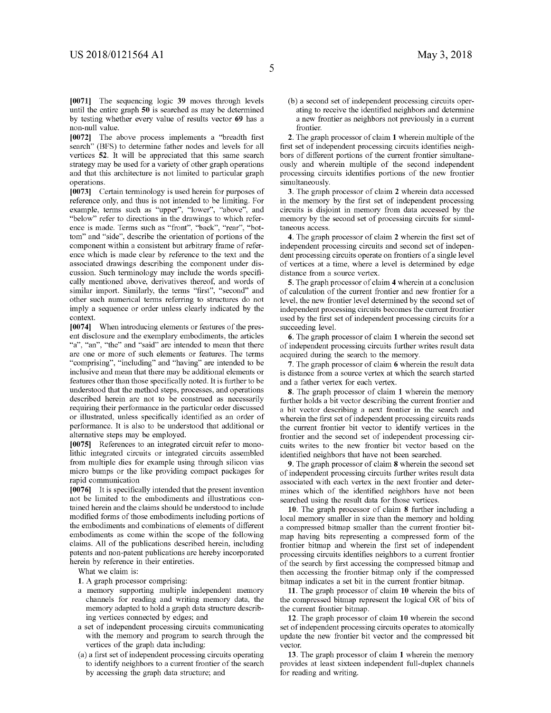**[0071]** The sequencing logic **39** moves through levels until the entire graph **50** is searched as may be determined by testing whether every value of results vector **69** has a non-null value.

**[0072]** The above process implements a "breadth first search" (BFS) to determine father nodes and levels for all vertices **52.** It will be appreciated that this same search strategy may be used for a variety of other graph operations and that this architecture is not limited to particular graph operations.

**[0073]** Certain terminology is used herein for purposes of reference only, and thus is not intended to be limiting. For example, terms such as "upper", "lower", "above", and "below" refer to directions in the drawings to which reference is made. Terms such as "front", "back", "rear", "bottom" and "side", describe the orientation of portions of the component within a consistent but arbitrary frame of reference which is made clear by reference to the text and the associated drawings describing the component under discussion. Such terminology may include the words specifically mentioned above, derivatives thereof, and words of similar import. Similarly, the terms "first", "second" and other such numerical terms referring to structures do not imply a sequence or order unless clearly indicated by the context.

**[0074]** When introducing elements or features of the present disclosure and the exemplary embodiments, the articles "a", "an", "the" and "said" are intended to mean that there are one or more of such elements or features. The terms "comprising", "including" and "having" are intended to be inclusive and mean that there may be additional elements or features other than those specifically noted. It is further to be understood that the method steps, processes, and operations described herein are not to be construed as necessarily requiring their performance in the particular order discussed or illustrated, unless specifically identified as an order of performance. It is also to be understood that additional or alternative steps may be employed.

**[0075]** References to an integrated circuit refer to monolithic integrated circuits or integrated circuits assembled from multiple dies for example using through silicon vias micro bumps or the like providing compact packages for rapid communication

**[0076]** It is specifically intended that the present invention not be limited to the embodiments and illustrations contained herein and the claims should be understood to include modified forms of those embodiments including portions of the embodiments and combinations of elements of different embodiments as come within the scope of the following claims. All of the publications described herein, including patents and non-patent publications are hereby incorporated herein by reference in their entireties.

What we claim is:

- **1.** A graph processor comprising:
- a memory supporting multiple independent memory channels for reading and writing memory data, the memory adapted to hold a graph data structure describing vertices connected by edges; and
- a set of independent processing circuits communicating with the memory and program to search through the vertices of the graph data including:
- (a) a first set of independent processing circuits operating to identify neighbors to a current frontier of the search by accessing the graph data structure; and

(b) a second set of independent processing circuits operating to receive the identified neighbors and determine a new frontier as neighbors not previously in a current frontier.

**2.** The graph processor of claim **1** wherein multiple of the first set of independent processing circuits identifies neighbors of different portions of the current frontier simultaneously and wherein multiple of the second independent processing circuits identifies portions of the new frontier simultaneously.

**3.** The graph processor of claim **2** wherein data accessed in the memory by the first set of independent processing circuits is disjoint in memory from data accessed by the memory by the second set of processing circuits for simultaneous access.

**4.** The graph processor of claim **2** wherein the first set of independent processing circuits and second set of independent processing circuits operate on frontiers of a single level of vertices at a time, where a level is determined by edge distance from a source vertex.

**5.** The graph processor of claim **4** wherein at a conclusion of calculation of the current frontier and new frontier for a level, the new frontier level determined by the second set of independent processing circuits becomes the current frontier used by the first set of independent processing circuits for a succeeding level.

**6.** The graph processor of claim **1** wherein the second set of independent processing circuits further writes result data acquired during the search to the memory.

**7.** The graph processor of claim **6** wherein the result data is distance from a source vertex at which the search started and a father vertex for each vertex.

**8.** The graph processor of claim **1** wherein the memory further holds a bit vector describing the current frontier and a bit vector describing a next frontier in the search and wherein the first set of independent processing circuits reads the current frontier bit vector to identify vertices in the frontier and the second set of independent processing circuits writes to the new frontier bit vector based on the identified neighbors that have not been searched.

**9.** The graph processor of claim **8** wherein the second set of independent processing circuits further writes result data associated with each vertex in the next frontier and determines which of the identified neighbors have not been searched using the result data for those vertices.

**10.** The graph processor of claim **8** further including a local memory smaller in size than the memory and holding a compressed bitmap smaller than the current frontier bitmap having bits representing a compressed form of the frontier bitmap and wherein the first set of independent processing circuits identifies neighbors to a current frontier of the search by first accessing the compressed bitmap and then accessing the frontier bitmap only if the compressed bitmap indicates a set bit in the current frontier bitmap.

**11.** The graph processor of claim **10** wherein the bits of the compressed bitmap represent the logical OR of bits of the current frontier bitmap.

**12.** The graph processor of claim **10** wherein the second set of independent processing circuits operates to atomically update the new frontier bit vector and the compressed bit vector.

**13.** The graph processor of claim **1** wherein the memory provides at least sixteen independent full-duplex channels for reading and writing.